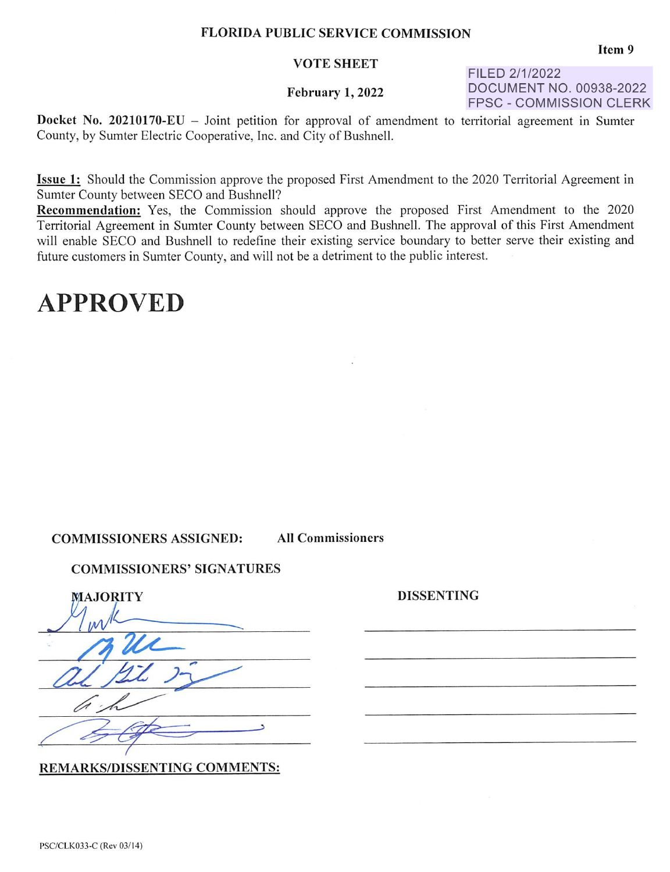#### VOTE SHEET

## February **1,** 2022

FILED 2/1/2022 DOCUMENT NO. 00938-2022 FPSC - COMMISSION CLERK

**Docket No. 20210170-EU** - Joint petition for approval of amendment to territorial agreement in Sumter County, by Sumter Electric Cooperative, Inc. and City of Bushnell.

**Issue 1:** Should the Commission approve the proposed First Amendment to the 2020 Territorial Agreement in Sumter County between SECO and Bushnell?

**Recommendation:** Yes, the Commission should approve the proposed First Amendment to the 2020 Territorial Agreement in Sumter County between SECO and Bushnell. The approval of this First Amendment will enable SECO and Bushnell to redefine their existing service boundary to better serve their existing and future customers in Sumter County, and will not be a detriment to the public interest.

**DISSENTING** 

# **APPROVED**

# **COMMISSIONERS ASSIGNED: All Commissioners**

### **COMMISSIONERS' SIGNATURES**

| MAJORITY |
|----------|
|          |
|          |
|          |
|          |
|          |
|          |
|          |

REMARKS/DISSENTING COMMENTS:

PSC/CLK033-C (Rev 03/14)